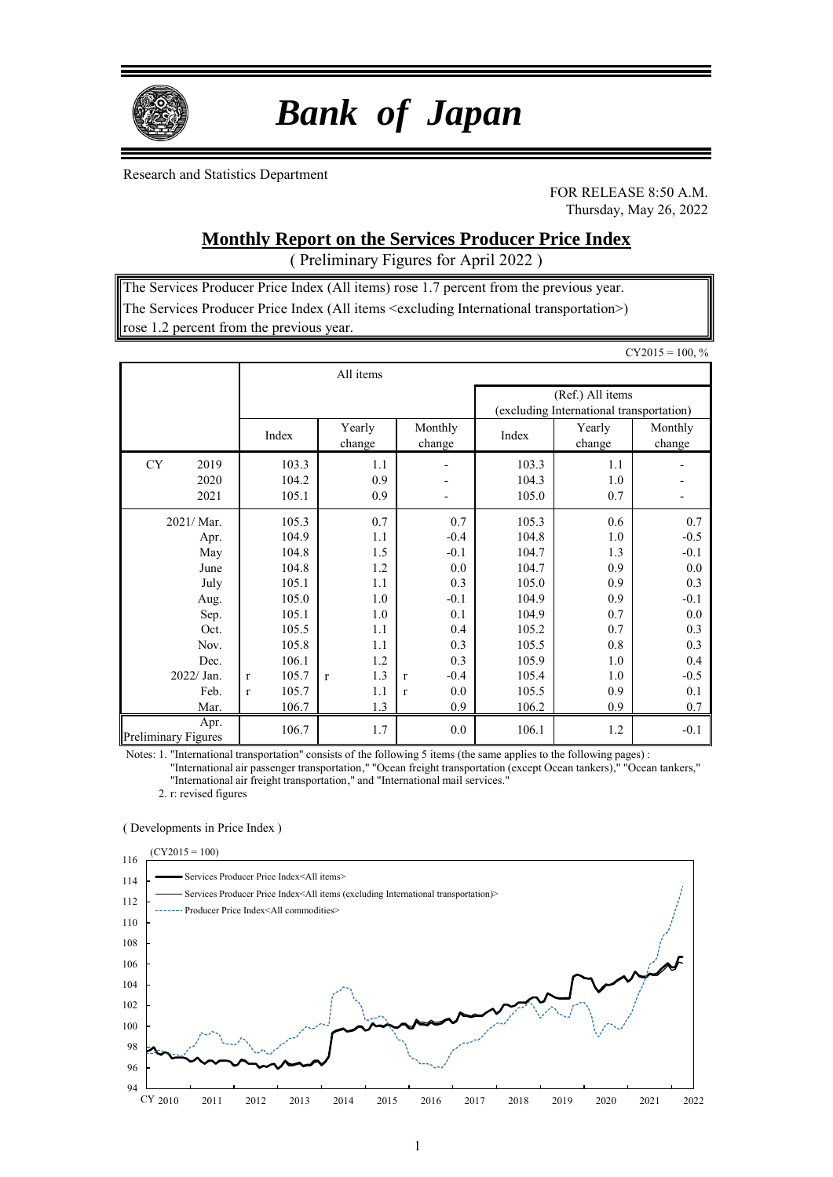

# *Bank of Japan*

Research and Statistics Department

FOR RELEASE 8:50 A.M. Thursday, May 26, 2022

## **Monthly Report on the Services Producer Price Index**

( Preliminary Figures for April 2022 )

The Services Producer Price Index (All items) rose 1.7 percent from the previous year. The Services Producer Price Index (All items <excluding International transportation>) rose 1.2 percent from the previous year.

|                                                           |                                                                                    |                                               |                                                                           |                                                              |                                               | $CY2015 = 100, %$                                      |  |
|-----------------------------------------------------------|------------------------------------------------------------------------------------|-----------------------------------------------|---------------------------------------------------------------------------|--------------------------------------------------------------|-----------------------------------------------|--------------------------------------------------------|--|
|                                                           |                                                                                    | All items                                     |                                                                           |                                                              |                                               |                                                        |  |
|                                                           |                                                                                    |                                               |                                                                           | (Ref.) All items<br>(excluding International transportation) |                                               |                                                        |  |
|                                                           | Index                                                                              | Yearly<br>change                              | Monthly<br>change                                                         | Index                                                        | Yearly<br>change                              | Monthly<br>change                                      |  |
| <b>CY</b><br>2019<br>2020<br>2021                         | 103.3<br>104.2<br>105.1                                                            | 1.1<br>0.9<br>0.9                             | $\overline{\phantom{0}}$                                                  | 103.3<br>104.3<br>105.0                                      | 1.1<br>1.0<br>0.7                             |                                                        |  |
| 2021/ Mar.<br>Apr.<br>May<br>June<br>July<br>Aug.<br>Sep. | 105.3<br>104.9<br>104.8<br>104.8<br>105.1<br>105.0<br>105.1                        | 0.7<br>1.1<br>1.5<br>1.2<br>1.1<br>1.0<br>1.0 | 0.7<br>$-0.4$<br>$-0.1$<br>0.0<br>0.3<br>$-0.1$<br>0.1                    | 105.3<br>104.8<br>104.7<br>104.7<br>105.0<br>104.9<br>104.9  | 0.6<br>1.0<br>1.3<br>0.9<br>0.9<br>0.9<br>0.7 | 0.7<br>$-0.5$<br>$-0.1$<br>0.0<br>0.3<br>$-0.1$<br>0.0 |  |
| Oct.<br>Nov.<br>Dec.<br>2022/ Jan.<br>Feb.<br>Mar.        | 105.5<br>105.8<br>106.1<br>105.7<br>$\mathbf{r}$<br>105.7<br>$\mathbf{r}$<br>106.7 | 1.1<br>1.1<br>1.2<br>1.3<br>r<br>1.1<br>1.3   | 0.4<br>0.3<br>0.3<br>$-0.4$<br>$\mathbf{r}$<br>0.0<br>$\mathbf{r}$<br>0.9 | 105.2<br>105.5<br>105.9<br>105.4<br>105.5<br>106.2           | 0.7<br>0.8<br>1.0<br>1.0<br>0.9<br>0.9        | 0.3<br>0.3<br>0.4<br>$-0.5$<br>0.1<br>0.7              |  |
| Apr.<br><b>Preliminary Figures</b>                        | 106.7                                                                              | 1.7                                           | 0.0                                                                       | 106.1                                                        | 1.2                                           | $-0.1$                                                 |  |

Notes: 1. "International transportation" consists of the following 5 items (the same applies to the following pages) :

"International air passenger transportation," "Ocean freight transportation (except Ocean tankers)," "Ocean tankers," "International air freight transportation," and "International mail services."

2. r: revised figures

#### ( Developments in Price Index )

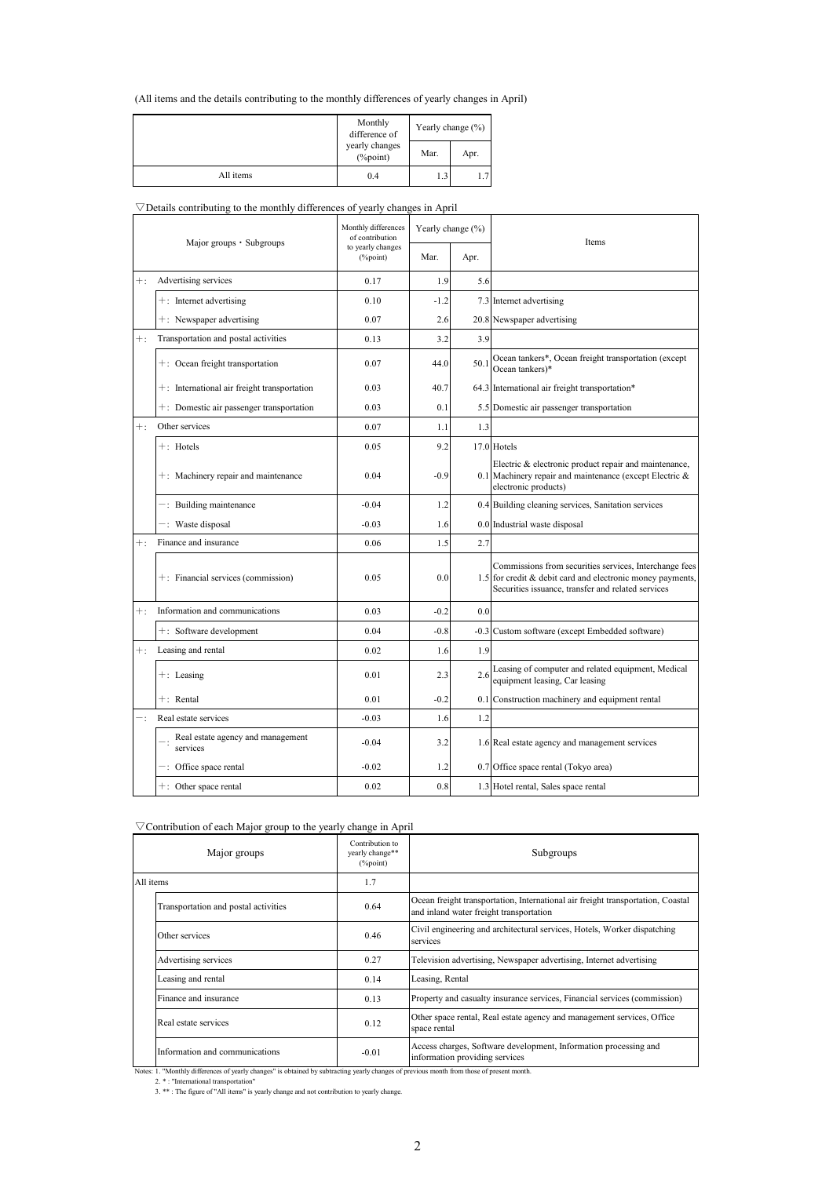(All items and the details contributing to the monthly differences of yearly changes in April)

|           | Monthly<br>difference of               | Yearly change $(\% )$ |      |  |  |
|-----------|----------------------------------------|-----------------------|------|--|--|
|           | yearly changes<br>Mar.<br>$(\%$ point) |                       | Apr. |  |  |
| All items | 0.4                                    |                       | 1.7  |  |  |

#### $\nabla$ Details contributing to the monthly differences of yearly changes in April

| Major groups · Subgroups |                                                | Monthly differences<br>of contribution |        | Yearly change (%) | <b>Items</b>                                                                                                                                                               |  |
|--------------------------|------------------------------------------------|----------------------------------------|--------|-------------------|----------------------------------------------------------------------------------------------------------------------------------------------------------------------------|--|
|                          |                                                | to yearly changes<br>(%point)          | Mar.   | Apr.              |                                                                                                                                                                            |  |
| $+$ :                    | Advertising services                           | 0.17                                   | 1.9    | 5.6               |                                                                                                                                                                            |  |
|                          | $+$ : Internet advertising                     | 0.10                                   | $-1.2$ |                   | 7.3 Internet advertising                                                                                                                                                   |  |
|                          | +: Newspaper advertising                       | 0.07                                   | 2.6    |                   | 20.8 Newspaper advertising                                                                                                                                                 |  |
| $+$ :                    | Transportation and postal activities           | 0.13                                   | 3.2    | 3.9               |                                                                                                                                                                            |  |
|                          | +: Ocean freight transportation                | 0.07                                   | 44.0   | 50.1              | Ocean tankers*, Ocean freight transportation (except<br>Ocean tankers)*                                                                                                    |  |
|                          | $+$ : International air freight transportation | 0.03                                   | 40.7   |                   | 64.3 International air freight transportation*                                                                                                                             |  |
|                          | $+$ : Domestic air passenger transportation    | 0.03                                   | 0.1    |                   | 5.5 Domestic air passenger transportation                                                                                                                                  |  |
| $+$ :                    | Other services                                 | 0.07                                   | 1.1    | 1.3               |                                                                                                                                                                            |  |
|                          | $+:$ Hotels                                    | 0.05                                   | 9.2    |                   | 17.0 Hotels                                                                                                                                                                |  |
|                          | +: Machinery repair and maintenance            | 0.04                                   | $-0.9$ |                   | Electric & electronic product repair and maintenance,<br>0.1 Machinery repair and maintenance (except Electric &<br>electronic products)                                   |  |
|                          | -: Building maintenance                        | $-0.04$                                | 1.2    |                   | 0.4 Building cleaning services, Sanitation services                                                                                                                        |  |
|                          | -: Waste disposal                              | $-0.03$                                | 1.6    |                   | 0.0 Industrial waste disposal                                                                                                                                              |  |
| $+$ :                    | Finance and insurance                          | 0.06                                   | 1.5    | 2.7               |                                                                                                                                                                            |  |
|                          | +: Financial services (commission)             | 0.05                                   | 0.0    |                   | Commissions from securities services, Interchange fees<br>1.5 for credit & debit card and electronic money payments,<br>Securities issuance, transfer and related services |  |
| $+$ :                    | Information and communications                 | 0.03                                   | $-0.2$ | 0.0               |                                                                                                                                                                            |  |
|                          | +: Software development                        | 0.04                                   | $-0.8$ |                   | -0.3 Custom software (except Embedded software)                                                                                                                            |  |
| $+$ :                    | Leasing and rental                             | 0.02                                   | 1.6    | 1.9               |                                                                                                                                                                            |  |
|                          | $+$ : Leasing                                  | 0.01                                   | 2.3    | 2.6               | Leasing of computer and related equipment, Medical<br>equipment leasing, Car leasing                                                                                       |  |
|                          | $+:$ Rental                                    | 0.01                                   | $-0.2$ |                   | 0.1 Construction machinery and equipment rental                                                                                                                            |  |
| $-$ :                    | Real estate services                           | $-0.03$                                | 1.6    | 1.2               |                                                                                                                                                                            |  |
|                          | Real estate agency and management<br>services  | $-0.04$                                | 3.2    |                   | 1.6 Real estate agency and management services                                                                                                                             |  |
|                          | $-$ : Office space rental                      | $-0.02$                                | 1.2    |                   | 0.7 Office space rental (Tokyo area)                                                                                                                                       |  |
|                          | +: Other space rental                          | 0.02                                   | 0.8    |                   | 1.3 Hotel rental, Sales space rental                                                                                                                                       |  |

| $\triangledown$ Contribution of each Major group to the yearly change in April |  |
|--------------------------------------------------------------------------------|--|
|                                                                                |  |

|           | Major groups                         | Contribution to<br>yearly change**<br>$(\%point)$ | Subgroups                                                                                                                  |  |  |  |
|-----------|--------------------------------------|---------------------------------------------------|----------------------------------------------------------------------------------------------------------------------------|--|--|--|
| All items |                                      | 1.7                                               |                                                                                                                            |  |  |  |
|           | Transportation and postal activities | 0.64                                              | Ocean freight transportation, International air freight transportation, Coastal<br>and inland water freight transportation |  |  |  |
|           | Other services                       | 0.46                                              | Civil engineering and architectural services, Hotels, Worker dispatching<br>services                                       |  |  |  |
|           | Advertising services                 | 0.27                                              | Television advertising, Newspaper advertising, Internet advertising                                                        |  |  |  |
|           | Leasing and rental                   | 0.14                                              | Leasing, Rental                                                                                                            |  |  |  |
|           | Finance and insurance                | 0.13                                              | Property and casualty insurance services, Financial services (commission)                                                  |  |  |  |
|           | Real estate services                 | 0.12                                              | Other space rental, Real estate agency and management services, Office<br>space rental                                     |  |  |  |
|           | Information and communications       | $-0.01$                                           | Access charges, Software development, Information processing and<br>information providing services                         |  |  |  |

Notes: 1. "Monthly differences of yearly changes" is obtained by subtracting yearly changes of previous month from those of present month.<br>2. \* : "International transportation"<br>3. \* \* : The figure of "All items" is yearly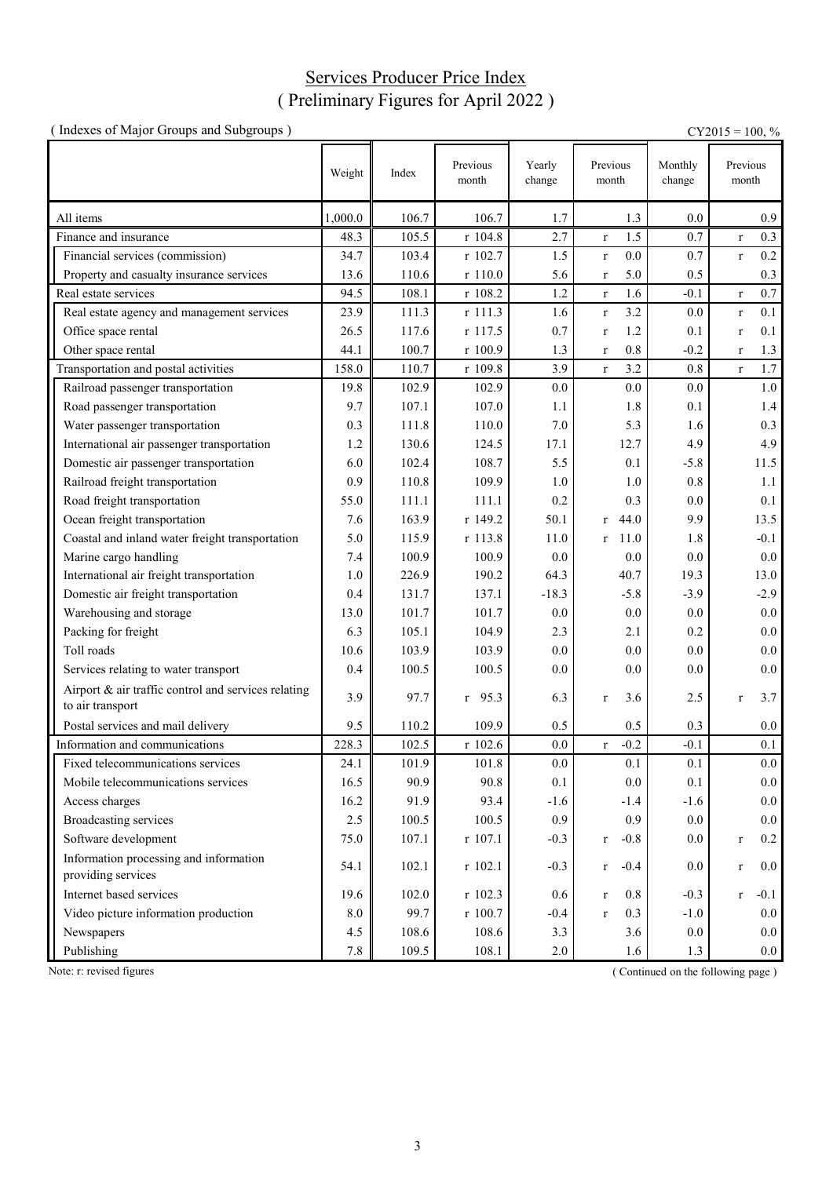## Services Producer Price Index ( Preliminary Figures for April 2022 )

| (Indexes of Major Groups and Subgroups)                                 |         |       |                   |                  |                        |                   | $CY2015 = 100, %$      |
|-------------------------------------------------------------------------|---------|-------|-------------------|------------------|------------------------|-------------------|------------------------|
|                                                                         | Weight  | Index | Previous<br>month | Yearly<br>change | Previous<br>month      | Monthly<br>change | Previous<br>month      |
| All items                                                               | 1,000.0 | 106.7 | 106.7             | 1.7              | 1.3                    | 0.0               | 0.9                    |
| Finance and insurance                                                   | 48.3    | 105.5 | r 104.8           | 2.7              | 1.5<br>$\mathbf r$     | 0.7               | 0.3<br>$\mathbf r$     |
| Financial services (commission)                                         | 34.7    | 103.4 | r 102.7           | 1.5              | 0.0<br>$\bf r$         | 0.7               | 0.2<br>$\mathbf r$     |
| Property and casualty insurance services                                | 13.6    | 110.6 | r 110.0           | 5.6              | 5.0<br>$\mathbf r$     | 0.5               | 0.3                    |
| Real estate services                                                    | 94.5    | 108.1 | r 108.2           | $1.2\,$          | 1.6<br>$\mathbf r$     | $-0.1$            | 0.7<br>$\mathbf r$     |
| Real estate agency and management services                              | 23.9    | 111.3 | r 111.3           | 1.6              | 3.2<br>$\mathbf r$     | 0.0               | 0.1<br>$\mathbf r$     |
| Office space rental                                                     | 26.5    | 117.6 | r 117.5           | 0.7              | 1.2<br>$\mathbf r$     | 0.1               | 0.1<br>$\bf r$         |
| Other space rental                                                      | 44.1    | 100.7 | r 100.9           | 1.3              | 0.8<br>$\mathbf r$     | $-0.2$            | 1.3<br>$\bf r$         |
| Transportation and postal activities                                    | 158.0   | 110.7 | r 109.8           | 3.9              | 3.2<br>$\mathbf{r}$    | 0.8               | 1.7<br>$\mathbf{r}$    |
| Railroad passenger transportation                                       | 19.8    | 102.9 | 102.9             | 0.0              | 0.0                    | 0.0               | 1.0                    |
| Road passenger transportation                                           | 9.7     | 107.1 | 107.0             | 1.1              | 1.8                    | 0.1               | 1.4                    |
| Water passenger transportation                                          | 0.3     | 111.8 | 110.0             | 7.0              | 5.3                    | 1.6               | 0.3                    |
| International air passenger transportation                              | 1.2     | 130.6 | 124.5             | 17.1             | 12.7                   | 4.9               | 4.9                    |
| Domestic air passenger transportation                                   | 6.0     | 102.4 | 108.7             | 5.5              | 0.1                    | $-5.8$            | 11.5                   |
| Railroad freight transportation                                         | 0.9     | 110.8 | 109.9             | 1.0              | 1.0                    | 0.8               | 1.1                    |
| Road freight transportation                                             | 55.0    | 111.1 | 111.1             | 0.2              | 0.3                    | 0.0               | 0.1                    |
| Ocean freight transportation                                            | 7.6     | 163.9 | r 149.2           | 50.1             | 44.0<br>$\mathbf{r}$   | 9.9               | 13.5                   |
| Coastal and inland water freight transportation                         | 5.0     | 115.9 | r 113.8           | 11.0             | 11.0<br>$\mathbf{r}$   | 1.8               | $-0.1$                 |
| Marine cargo handling                                                   | 7.4     | 100.9 | 100.9             | 0.0              | 0.0                    | 0.0               | 0.0                    |
| International air freight transportation                                | 1.0     | 226.9 | 190.2             | 64.3             | 40.7                   | 19.3              | 13.0                   |
| Domestic air freight transportation                                     | 0.4     | 131.7 | 137.1             | $-18.3$          | $-5.8$                 | $-3.9$            | $-2.9$                 |
| Warehousing and storage                                                 | 13.0    | 101.7 | 101.7             | 0.0              | 0.0                    | 0.0               | 0.0                    |
| Packing for freight                                                     | 6.3     | 105.1 | 104.9             | 2.3              | 2.1                    | 0.2               | 0.0                    |
| Toll roads                                                              | 10.6    | 103.9 | 103.9             | 0.0              | 0.0                    | 0.0               | 0.0                    |
| Services relating to water transport                                    | 0.4     | 100.5 | 100.5             | 0.0              | 0.0                    | 0.0               | 0.0                    |
| Airport & air traffic control and services relating<br>to air transport | 3.9     | 97.7  | $r$ 95.3          | 6.3              | 3.6<br>$\bf r$         | 2.5               | 3.7<br>$\mathbf r$     |
| Postal services and mail delivery                                       | 9.5     | 110.2 | 109.9             | 0.5              | 0.5                    | 0.3               | $0.0\,$                |
| Information and communications                                          | 228.3   | 102.5 | r 102.6           | 0.0              | $-0.2$<br>$\mathbf r$  | $-0.1$            | 0.1                    |
| Fixed telecommunications services                                       | 24.1    | 101.9 | 101.8             | 0.0              | 0.1                    | 0.1               | $0.0\,$                |
| Mobile telecommunications services                                      | 16.5    | 90.9  | 90.8              | 0.1              | 0.0                    | 0.1               | 0.0                    |
| Access charges                                                          | 16.2    | 91.9  | 93.4              | $-1.6$           | $-1.4$                 | $-1.6$            | 0.0                    |
| <b>Broadcasting services</b>                                            | 2.5     | 100.5 | 100.5             | 0.9              | 0.9                    | 0.0               | 0.0                    |
| Software development                                                    | 75.0    | 107.1 | $r$ 107.1         | $-0.3$           | $-0.8$<br>$\bf r$      | 0.0               | 0.2<br>$\mathbf r$     |
| Information processing and information<br>providing services            | 54.1    | 102.1 | r 102.1           | $-0.3$           | $-0.4$<br>$\mathbf{r}$ | 0.0               | $0.0\,$<br>$\mathbf r$ |
| Internet based services                                                 | 19.6    | 102.0 | r 102.3           | 0.6              | 0.8<br>$\mathbf{r}$    | $-0.3$            | $-0.1$<br>$\mathbf{r}$ |
| Video picture information production                                    | 8.0     | 99.7  | r 100.7           | $-0.4$           | 0.3<br>$\mathbf{r}$    | $-1.0$            | 0.0                    |
| Newspapers                                                              | 4.5     | 108.6 | 108.6             | 3.3              | 3.6                    | 0.0               | $0.0\,$                |
| Publishing                                                              | $7.8\,$ | 109.5 | 108.1             | 2.0              | 1.6                    | 1.3               | $0.0\,$                |

Note: r: revised figures (Continued on the following page)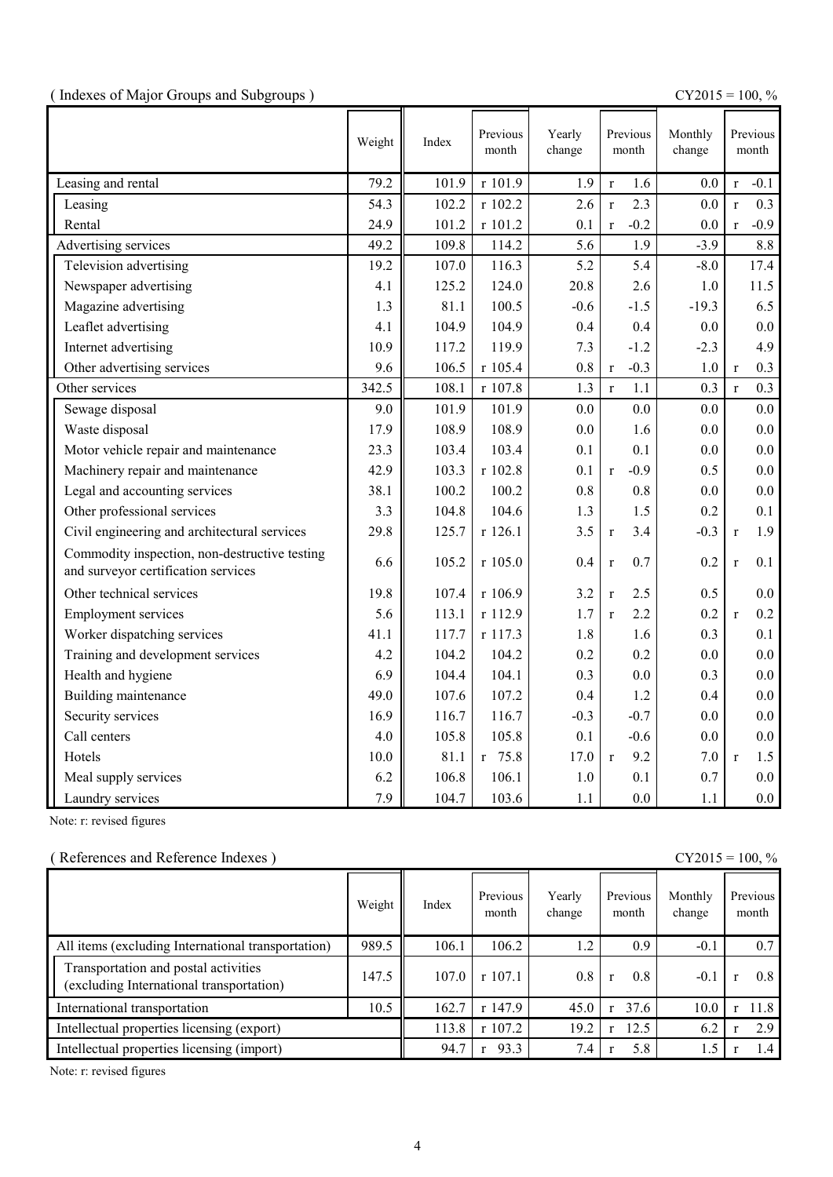|  |  | (Indexes of Major Groups and Subgroups) |  |
|--|--|-----------------------------------------|--|
|  |  |                                         |  |

(  $\text{CY2015} = 100, \%$ 

|                                                                                      | Weight | Index | Previous<br>month | Yearly<br>change | Previous<br>month      | Monthly<br>change |              | Previous<br>month |
|--------------------------------------------------------------------------------------|--------|-------|-------------------|------------------|------------------------|-------------------|--------------|-------------------|
| Leasing and rental                                                                   | 79.2   | 101.9 | r 101.9           | 1.9              | 1.6<br>$\mathbf{r}$    | 0.0               | $\mathbf r$  | $-0.1$            |
| Leasing                                                                              | 54.3   | 102.2 | r 102.2           | 2.6              | 2.3<br>$\mathbf{r}$    | 0.0               | $\mathbf{r}$ | 0.3               |
| Rental                                                                               | 24.9   | 101.2 | r 101.2           | 0.1              | $-0.2$<br>$\mathbf{r}$ | 0.0               | $\mathbf{r}$ | $-0.9$            |
| Advertising services                                                                 | 49.2   | 109.8 | 114.2             | 5.6              | 1.9                    | $-3.9$            |              | 8.8               |
| Television advertising                                                               | 19.2   | 107.0 | 116.3             | 5.2              | 5.4                    | $-8.0$            |              | 17.4              |
| Newspaper advertising                                                                | 4.1    | 125.2 | 124.0             | 20.8             | 2.6                    | 1.0               |              | 11.5              |
| Magazine advertising                                                                 | 1.3    | 81.1  | 100.5             | $-0.6$           | $-1.5$                 | $-19.3$           |              | 6.5               |
| Leaflet advertising                                                                  | 4.1    | 104.9 | 104.9             | 0.4              | 0.4                    | 0.0               |              | $0.0\,$           |
| Internet advertising                                                                 | 10.9   | 117.2 | 119.9             | 7.3              | $-1.2$                 | $-2.3$            |              | 4.9               |
| Other advertising services                                                           | 9.6    | 106.5 | r 105.4           | 0.8              | $-0.3$<br>$\mathbf r$  | $1.0\,$           | $\mathbf{r}$ | 0.3               |
| Other services                                                                       | 342.5  | 108.1 | r 107.8           | 1.3              | 1.1<br>$\mathbf r$     | 0.3               | $\mathbf{r}$ | 0.3               |
| Sewage disposal                                                                      | 9.0    | 101.9 | 101.9             | 0.0              | 0.0                    | 0.0               |              | 0.0               |
| Waste disposal                                                                       | 17.9   | 108.9 | 108.9             | 0.0              | 1.6                    | 0.0               |              | 0.0               |
| Motor vehicle repair and maintenance                                                 | 23.3   | 103.4 | 103.4             | 0.1              | 0.1                    | 0.0               |              | 0.0               |
| Machinery repair and maintenance                                                     | 42.9   | 103.3 | r 102.8           | 0.1              | $-0.9$<br>$\mathbf{r}$ | 0.5               |              | 0.0               |
| Legal and accounting services                                                        | 38.1   | 100.2 | 100.2             | 0.8              | 0.8                    | 0.0               |              | 0.0               |
| Other professional services                                                          | 3.3    | 104.8 | 104.6             | 1.3              | 1.5                    | 0.2               |              | 0.1               |
| Civil engineering and architectural services                                         | 29.8   | 125.7 | r 126.1           | 3.5              | 3.4<br>$\mathbf{r}$    | $-0.3$            | $\mathbf{r}$ | 1.9               |
| Commodity inspection, non-destructive testing<br>and surveyor certification services | 6.6    | 105.2 | $r$ 105.0         | 0.4              | 0.7<br>$\mathbf r$     | 0.2               | $\mathbf{r}$ | 0.1               |
| Other technical services                                                             | 19.8   | 107.4 | r 106.9           | 3.2              | 2.5<br>$\mathbf r$     | 0.5               |              | 0.0               |
| <b>Employment services</b>                                                           | 5.6    | 113.1 | r 112.9           | 1.7              | 2.2<br>$\mathbf{r}$    | 0.2               | $\mathbf{r}$ | 0.2               |
| Worker dispatching services                                                          | 41.1   | 117.7 | r 117.3           | 1.8              | 1.6                    | 0.3               |              | 0.1               |
| Training and development services                                                    | 4.2    | 104.2 | 104.2             | 0.2              | 0.2                    | 0.0               |              | 0.0               |
| Health and hygiene                                                                   | 6.9    | 104.4 | 104.1             | 0.3              | 0.0                    | 0.3               |              | 0.0               |
| Building maintenance                                                                 | 49.0   | 107.6 | 107.2             | 0.4              | 1.2                    | 0.4               |              | 0.0               |
| Security services                                                                    | 16.9   | 116.7 | 116.7             | $-0.3$           | $-0.7$                 | 0.0               |              | 0.0               |
| Call centers                                                                         | 4.0    | 105.8 | 105.8             | 0.1              | $-0.6$                 | 0.0               |              | 0.0               |
| Hotels                                                                               | 10.0   | 81.1  | r 75.8            | 17.0             | 9.2<br>$\mathbf{r}$    | 7.0               | $\mathbf{r}$ | 1.5               |
| Meal supply services                                                                 | 6.2    | 106.8 | 106.1             | 1.0              | 0.1                    | 0.7               |              | 0.0               |
| Laundry services                                                                     | 7.9    | 104.7 | 103.6             | 1.1              | 0.0                    | 1.1               |              | 0.0               |

Note: r: revised figures

### ( References and Reference Indexes ) CY2015 = 100, %

|                                                                                  | Weight | Index | Previous<br>month | Yearly<br>change | Previous<br>month | Monthly<br>change | Previous<br>month |
|----------------------------------------------------------------------------------|--------|-------|-------------------|------------------|-------------------|-------------------|-------------------|
| All items (excluding International transportation)                               | 989.5  | 106.1 | 106.2             | 1.2              | 0.9               | $-0.1$            | 0.7               |
| Transportation and postal activities<br>(excluding International transportation) | 147.5  | 107.0 | r 107.1           | 0.8              | 0.8               | $-0$ .            | 0.8               |
| International transportation                                                     | 10.5   | 162.7 | $r$ 147.9         | 45.0             | 37.6<br>$\bullet$ | 10.0              | 11.8              |
| Intellectual properties licensing (export)                                       |        | 113.8 | r 107.2           | 19.2             | 12.5              | 6.2               | 2.9               |
| Intellectual properties licensing (import)                                       |        | 94.7  | 93.3              | 7.4              | 5.8               | 1.5               | $\cdot$ 4         |

Note: r: revised figures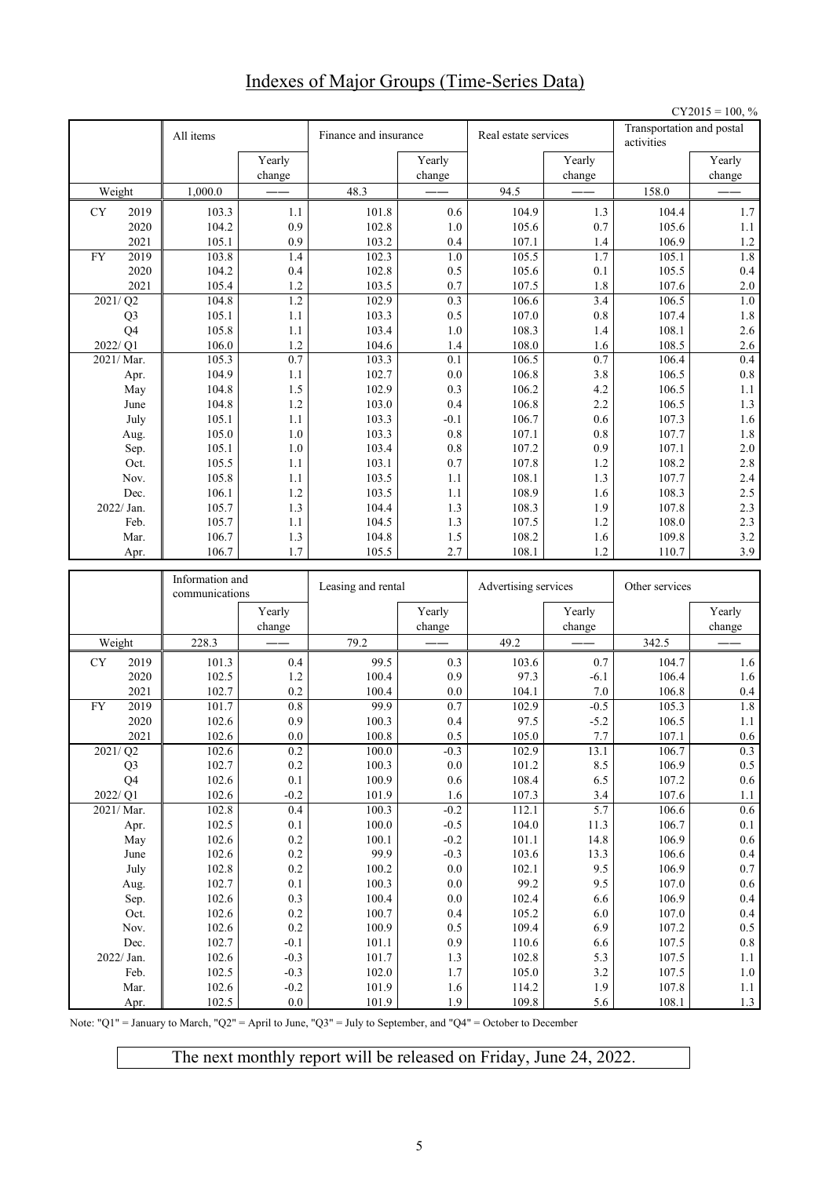# Indexes of Major Groups (Time-Series Data)

|    |                |                 |                  |                       |                    |                      |                  |                                         | $CY2015 = 100, %$  |
|----|----------------|-----------------|------------------|-----------------------|--------------------|----------------------|------------------|-----------------------------------------|--------------------|
|    |                | All items       |                  | Finance and insurance |                    | Real estate services |                  | Transportation and postal<br>activities |                    |
|    |                |                 | Yearly<br>change |                       | Yearly<br>change   |                      | Yearly<br>change |                                         | Yearly<br>change   |
|    | Weight         | 1,000.0         |                  | 48.3                  |                    | 94.5                 |                  | 158.0                                   |                    |
|    | 2019           |                 | 1.1              | 101.8                 | 0.6                | 104.9                | 1.3              | 104.4                                   | 1.7                |
| CY | 2020           | 103.3<br>104.2  | 0.9              | 102.8                 | 1.0                | 105.6                | 0.7              | 105.6                                   | 1.1                |
|    | 2021           | 105.1           | 0.9              | 103.2                 | 0.4                | 107.1                | 1.4              | 106.9                                   | $1.2\,$            |
| FY | 2019           | 103.8           | 1.4              | 102.3                 | 1.0                | 105.5                | 1.7              | 105.1                                   | 1.8                |
|    | 2020           | 104.2           | 0.4              | 102.8                 | 0.5                | 105.6                | 0.1              | 105.5                                   | 0.4                |
|    | 2021           | 105.4           | 1.2              | 103.5                 | 0.7                | 107.5                | 1.8              | 107.6                                   | 2.0                |
|    | 2021/Q2        | 104.8           | 1.2              | 102.9                 | 0.3                | 106.6                | 3.4              | 106.5                                   | $1.0\,$            |
|    | Q <sub>3</sub> | 105.1           | 1.1              | 103.3                 | 0.5                | 107.0                | $0.8\,$          | 107.4                                   | $1.8\,$            |
|    | Q <sub>4</sub> | 105.8           | 1.1              | 103.4                 | 1.0                | 108.3                | 1.4              | 108.1                                   | 2.6                |
|    | 2022/Q1        | 106.0           | 1.2              | 104.6                 | 1.4                | 108.0                | 1.6              | 108.5                                   | 2.6                |
|    | 2021/Mar.      | 105.3           | 0.7              | 103.3                 | 0.1                | 106.5                | 0.7              | 106.4                                   | 0.4                |
|    | Apr.           | 104.9           | 1.1              | 102.7                 | 0.0                | 106.8                | 3.8              | 106.5                                   | $0.8\,$            |
|    | May            | 104.8           | 1.5              | 102.9                 | 0.3                | 106.2                | 4.2              | 106.5                                   | 1.1                |
|    | June           | 104.8           | 1.2              | 103.0                 | 0.4                | 106.8                | 2.2              | 106.5                                   | $1.3$              |
|    | July           | 105.1           | 1.1              | 103.3                 | $-0.1$             | 106.7                | 0.6              | 107.3                                   | 1.6                |
|    | Aug.           | 105.0           | 1.0              | 103.3                 | 0.8                | 107.1                | 0.8              | 107.7                                   | $1.8\,$            |
|    | Sep.           | 105.1           | 1.0              | 103.4                 | 0.8                | 107.2                | 0.9              | 107.1                                   | $2.0\,$            |
|    | Oct.           | 105.5           | 1.1              | 103.1                 | 0.7                | 107.8                | 1.2              | 108.2                                   | 2.8                |
|    | Nov.           | 105.8           | 1.1              | 103.5                 | 1.1                | 108.1                | 1.3              | 107.7                                   | $2.4\,$            |
|    | Dec.           | 106.1           | 1.2              | 103.5                 | 1.1                | 108.9                | 1.6              | 108.3                                   | 2.5                |
|    | 2022/ Jan.     | 105.7           | 1.3              | 104.4                 | 1.3                | 108.3                | 1.9              | 107.8                                   | 2.3                |
|    | Feb.           | 105.7           | 1.1              | 104.5                 | 1.3                | 107.5                | 1.2              | 108.0                                   | 2.3                |
|    | Mar.           | 106.7           | 1.3              | 104.8                 | 1.5                | 108.2                | 1.6              | 109.8                                   | 3.2                |
|    | Apr.           | 106.7           | 1.7              | 105.5                 | 2.7                | 108.1                | 1.2              | 110.7                                   | 3.9                |
|    |                |                 |                  |                       |                    |                      |                  |                                         |                    |
|    |                | Information and |                  |                       |                    |                      |                  |                                         |                    |
|    |                | communications  |                  | Leasing and rental    |                    | Advertising services |                  | Other services                          |                    |
|    |                |                 | Yearly<br>change |                       | Yearly<br>change   |                      | Yearly<br>change |                                         | Yearly<br>change   |
|    | Weight         | 228.3           |                  | 79.2                  |                    | 49.2                 |                  | 342.5                                   |                    |
| CY | 2019           | 101.3           | 0.4              | 99.5                  | 0.3                | 103.6                | 0.7              | 104.7                                   | 1.6                |
|    | 2020           | 102.5           | 1.2              | 100.4                 | 0.9                | 97.3                 | $-6.1$           | 106.4                                   | 1.6                |
|    | 2021           | 102.7           | 0.2              | 100.4                 | 0.0                | 104.1                | 7.0              | 106.8                                   | $0.4\,$            |
| FY | 2019           | 101.7           | 0.8              | 99.9                  | 0.7                | 102.9                | $-0.5$           | 105.3                                   | 1.8                |
|    | 2020           | 102.6           | 0.9              | 100.3                 | 0.4                | 97.5                 | $-5.2$           | 106.5                                   | 1.1                |
|    | 2021           | 102.6           | $0.0\,$          | 100.8                 | $0.5\,$            | 105.0                | 7.7              | 107.1                                   | $0.6\,$            |
|    | 2021/Q2        | 102.6           | 0.2              | 100.0                 | $-0.3$             | 102.9                | 13.1             | 106.7                                   | $0.3\,$            |
|    | Q <sub>3</sub> | 102.7           | $0.2\,$          | 100.3                 | $0.0\,$            | 101.2                | 8.5              | 106.9                                   | $0.5\,$            |
|    | Q4             | 102.6           | 0.1              | 100.9                 | $0.6\,$            | 108.4                | 6.5              | 107.2                                   | $0.6\,$            |
|    | 2022/Q1        | 102.6           | $-0.2$           | 101.9                 | 1.6                | 107.3                | 3.4              | 107.6                                   | $1.1\,$            |
|    | 2021/ Mar.     | 102.8           | 0.4              | 100.3                 | $-0.2$             | 112.1                | 5.7              | 106.6                                   | $0.6\,$            |
|    | Apr.           | 102.5           | $0.1\,$          | $100.0\,$             | $-0.5$             | 104.0                | 11.3             | 106.7                                   | $0.1\,$            |
|    | May            | 102.6           | $0.2\,$          | 100.1                 | $-0.2$             | 101.1                | 14.8             | 106.9                                   | $0.6\,$            |
|    | June           | 102.6           | $0.2\,$          | 99.9                  | $-0.3$             | 103.6                | 13.3             | 106.6                                   | $0.4\,$            |
|    | July           | 102.8           | 0.2              | 100.2                 | $0.0\,$            | 102.1                | 9.5              | 106.9                                   | $0.7\,$            |
|    | Aug.           | 102.7           | 0.1              | 100.3                 | $0.0\,$            | 99.2                 | 9.5              | 107.0                                   | $0.6\,$            |
|    | Sep.           | 102.6           | $0.3\,$          | 100.4                 | $0.0\,$            | 102.4                | 6.6              | 106.9                                   | $0.4\,$            |
|    | Oct.           | 102.6           | $0.2\,$          | 100.7                 | 0.4                | 105.2                | $6.0\,$          | $107.0\,$                               | $0.4\,$            |
|    | Nov.           | 102.6           | 0.2              | 100.9                 | 0.5                | 109.4                | 6.9              | 107.2                                   | $0.5\,$            |
|    | Dec.           | 102.7           | $-0.1$           | 101.1                 | 0.9                | 110.6                | 6.6              | 107.5                                   | $0.8\,$            |
|    | 2022/ Jan.     | 102.6           | $-0.3$           | 101.7                 | $1.3\,$            | 102.8                | 5.3              | 107.5                                   | $1.1\,$            |
|    | Feb.<br>Mar.   | 102.5<br>102.6  | $-0.3$<br>$-0.2$ | 102.0<br>101.9        | $1.7\,$<br>$1.6\,$ | 105.0<br>114.2       | $3.2\,$<br>1.9   | 107.5<br>107.8                          | $1.0\,$<br>$1.1\,$ |

Note: "Q1" = January to March, "Q2" = April to June, "Q3" = July to September, and "Q4" = October to December

The next monthly report will be released on Friday, June 24, 2022.